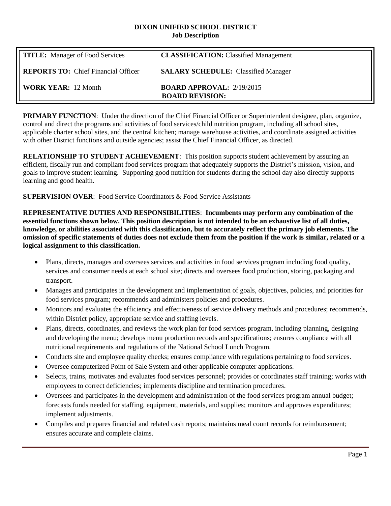#### **DIXON UNIFIED SCHOOL DISTRICT Job Description**

| <b>TITLE:</b> Manager of Food Services     | <b>CLASSIFICATION:</b> Classified Management                 |
|--------------------------------------------|--------------------------------------------------------------|
| <b>REPORTS TO:</b> Chief Financial Officer | <b>SALARY SCHEDULE:</b> Classified Manager                   |
| <b>WORK YEAR: 12 Month</b>                 | <b>BOARD APPROVAL:</b> $2/19/2015$<br><b>BOARD REVISION:</b> |

**PRIMARY FUNCTION:** Under the direction of the Chief Financial Officer or Superintendent designee, plan, organize, control and direct the programs and activities of food services/child nutrition program, including all school sites, applicable charter school sites, and the central kitchen; manage warehouse activities, and coordinate assigned activities with other District functions and outside agencies; assist the Chief Financial Officer, as directed.

**RELATIONSHIP TO STUDENT ACHIEVEMENT**: This position supports student achievement by assuring an efficient, fiscally run and compliant food services program that adequately supports the District's mission, vision, and goals to improve student learning. Supporting good nutrition for students during the school day also directly supports learning and good health.

**SUPERVISION OVER**: Food Service Coordinators & Food Service Assistants

**REPRESENTATIVE DUTIES AND RESPONSIBILITIES**: **Incumbents may perform any combination of the essential functions shown below. This position description is not intended to be an exhaustive list of all duties, knowledge, or abilities associated with this classification, but to accurately reflect the primary job elements. The omission of specific statements of duties does not exclude them from the position if the work is similar, related or a logical assignment to this classification.**

- Plans, directs, manages and oversees services and activities in food services program including food quality, services and consumer needs at each school site; directs and oversees food production, storing, packaging and transport.
- Manages and participates in the development and implementation of goals, objectives, policies, and priorities for food services program; recommends and administers policies and procedures.
- Monitors and evaluates the efficiency and effectiveness of service delivery methods and procedures; recommends, within District policy, appropriate service and staffing levels.
- Plans, directs, coordinates, and reviews the work plan for food services program, including planning, designing and developing the menu; develops menu production records and specifications; ensures compliance with all nutritional requirements and regulations of the National School Lunch Program.
- Conducts site and employee quality checks; ensures compliance with regulations pertaining to food services.
- Oversee computerized Point of Sale System and other applicable computer applications.
- Selects, trains, motivates and evaluates food services personnel; provides or coordinates staff training; works with employees to correct deficiencies; implements discipline and termination procedures.
- Oversees and participates in the development and administration of the food services program annual budget; forecasts funds needed for staffing, equipment, materials, and supplies; monitors and approves expenditures; implement adjustments.
- Compiles and prepares financial and related cash reports; maintains meal count records for reimbursement; ensures accurate and complete claims.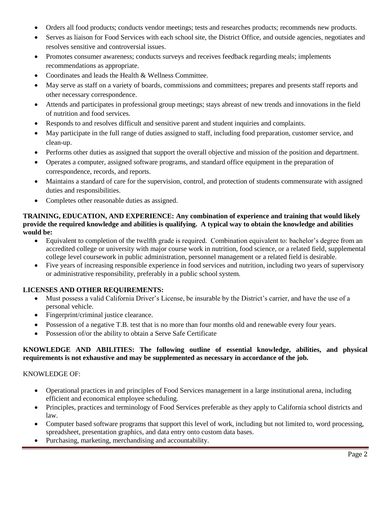- Orders all food products; conducts vendor meetings; tests and researches products; recommends new products.
- Serves as liaison for Food Services with each school site, the District Office, and outside agencies, negotiates and resolves sensitive and controversial issues.
- Promotes consumer awareness; conducts surveys and receives feedback regarding meals; implements recommendations as appropriate.
- Coordinates and leads the Health & Wellness Committee.
- May serve as staff on a variety of boards, commissions and committees; prepares and presents staff reports and other necessary correspondence.
- Attends and participates in professional group meetings; stays abreast of new trends and innovations in the field of nutrition and food services.
- Responds to and resolves difficult and sensitive parent and student inquiries and complaints.
- May participate in the full range of duties assigned to staff, including food preparation, customer service, and clean-up.
- Performs other duties as assigned that support the overall objective and mission of the position and department.
- Operates a computer, assigned software programs, and standard office equipment in the preparation of correspondence, records, and reports.
- Maintains a standard of care for the supervision, control, and protection of students commensurate with assigned duties and responsibilities.
- Completes other reasonable duties as assigned.

### **TRAINING, EDUCATION, AND EXPERIENCE: Any combination of experience and training that would likely provide the required knowledge and abilities is qualifying. A typical way to obtain the knowledge and abilities would be:**

- Equivalent to completion of the twelfth grade is required. Combination equivalent to: bachelor's degree from an accredited college or university with major course work in nutrition, food science, or a related field, supplemental college level coursework in public administration, personnel management or a related field is desirable.
- Five years of increasing responsible experience in food services and nutrition, including two years of supervisory or administrative responsibility, preferably in a public school system.

# **LICENSES AND OTHER REQUIREMENTS:**

- Must possess a valid California Driver's License, be insurable by the District's carrier, and have the use of a personal vehicle.
- Fingerprint/criminal justice clearance.
- Possession of a negative T.B. test that is no more than four months old and renewable every four years.
- Possession of/or the ability to obtain a Serve Safe Certificate

# **KNOWLEDGE AND ABILITIES: The following outline of essential knowledge, abilities, and physical requirements is not exhaustive and may be supplemented as necessary in accordance of the job.**

### KNOWLEDGE OF:

- Operational practices in and principles of Food Services management in a large institutional arena, including efficient and economical employee scheduling.
- Principles, practices and terminology of Food Services preferable as they apply to California school districts and law.
- Computer based software programs that support this level of work, including but not limited to, word processing, spreadsheet, presentation graphics, and data entry onto custom data bases.
- Purchasing, marketing, merchandising and accountability.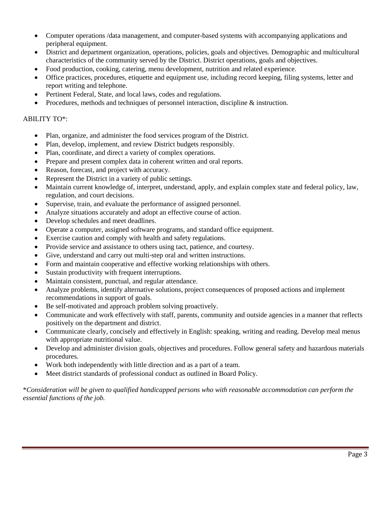- Computer operations /data management, and computer-based systems with accompanying applications and peripheral equipment.
- District and department organization, operations, policies, goals and objectives. Demographic and multicultural characteristics of the community served by the District. District operations, goals and objectives.
- Food production, cooking, catering, menu development, nutrition and related experience.
- Office practices, procedures, etiquette and equipment use, including record keeping, filing systems, letter and report writing and telephone.
- Pertinent Federal, State, and local laws, codes and regulations.
- Procedures, methods and techniques of personnel interaction, discipline & instruction.

### ABILITY TO\*:

- Plan, organize, and administer the food services program of the District.
- Plan, develop, implement, and review District budgets responsibly.
- Plan, coordinate, and direct a variety of complex operations.
- Prepare and present complex data in coherent written and oral reports.
- Reason, forecast, and project with accuracy.
- Represent the District in a variety of public settings.
- Maintain current knowledge of, interpret, understand, apply, and explain complex state and federal policy, law, regulation, and court decisions.
- Supervise, train, and evaluate the performance of assigned personnel.
- Analyze situations accurately and adopt an effective course of action.
- Develop schedules and meet deadlines.
- Operate a computer, assigned software programs, and standard office equipment.
- Exercise caution and comply with health and safety regulations.
- Provide service and assistance to others using tact, patience, and courtesy.
- Give, understand and carry out multi-step oral and written instructions.
- Form and maintain cooperative and effective working relationships with others.
- Sustain productivity with frequent interruptions.
- Maintain consistent, punctual, and regular attendance.
- Analyze problems, identify alternative solutions, project consequences of proposed actions and implement recommendations in support of goals.
- Be self-motivated and approach problem solving proactively.
- Communicate and work effectively with staff, parents, community and outside agencies in a manner that reflects positively on the department and district.
- Communicate clearly, concisely and effectively in English: speaking, writing and reading. Develop meal menus with appropriate nutritional value.
- Develop and administer division goals, objectives and procedures. Follow general safety and hazardous materials procedures.
- Work both independently with little direction and as a part of a team.
- Meet district standards of professional conduct as outlined in Board Policy.

\**Consideration will be given to qualified handicapped persons who with reasonable accommodation can perform the essential functions of the job.*